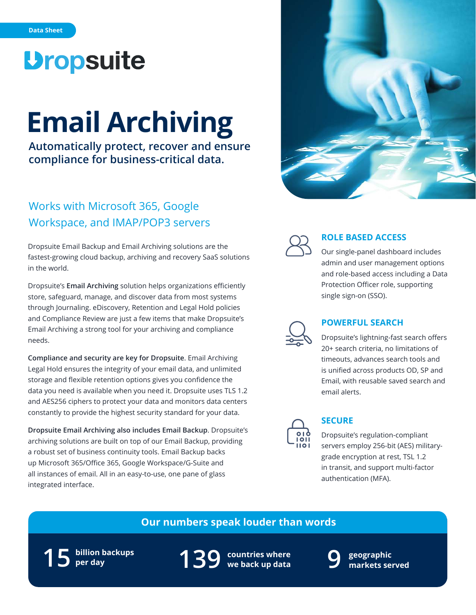## *<u>Dropsuite</u>*

# **Email Archiving**

**Automatically protect, recover and ensure compliance for business-critical data.**

## Works with Microsoft 365, Google Workspace, and IMAP/POP3 servers

Dropsuite Email Backup and Email Archiving solutions are the fastest-growing cloud backup, archiving and recovery SaaS solutions in the world.

Dropsuite's **Email Archiving** solution helps organizations efficiently store, safeguard, manage, and discover data from most systems through Journaling. eDiscovery, Retention and Legal Hold policies and Compliance Review are just a few items that make Dropsuite's Email Archiving a strong tool for your archiving and compliance needs.

**Compliance and security are key for Dropsuite**. Email Archiving Legal Hold ensures the integrity of your email data, and unlimited storage and flexible retention options gives you confidence the data you need is available when you need it. Dropsuite uses TLS 1.2 and AES256 ciphers to protect your data and monitors data centers constantly to provide the highest security standard for your data.

**Dropsuite Email Archiving also includes Email Backup**. Dropsuite's archiving solutions are built on top of our Email Backup, providing a robust set of business continuity tools. Email Backup backs up Microsoft 365/Office 365, Google Workspace/G-Suite and all instances of email. All in an easy-to-use, one pane of glass integrated interface.





#### **ROLE BASED ACCESS**

Our single-panel dashboard includes admin and user management options and role-based access including a Data Protection Officer role, supporting single sign-on (SSO).



#### **POWERFUL SEARCH**

Dropsuite's lightning-fast search offers 20+ search criteria, no limitations of timeouts, advances search tools and is unified across products OD, SP and Email, with reusable saved search and email alerts.



#### **SECURE**

Dropsuite's regulation-compliant servers employ 256-bit (AES) militarygrade encryption at rest, TSL 1.2 in transit, and support multi-factor authentication (MFA).

### **Our numbers speak louder than words**



**countries where 139 we back up data**



**geographic 9 markets served**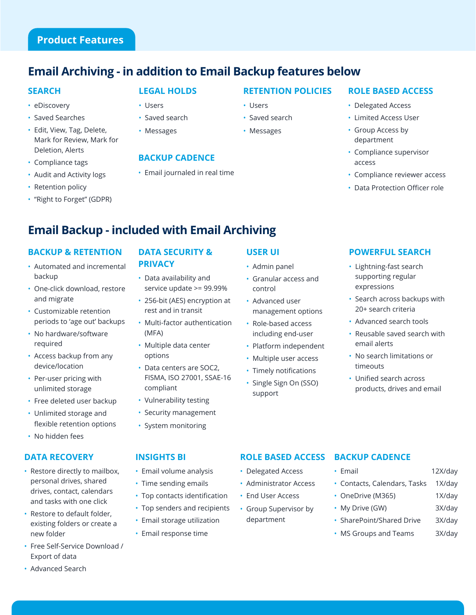## **Product Features**

## **Email Archiving - in addition to Email Backup features below**

#### **SEARCH**

- eDiscovery
- Saved Searches
- Edit, View, Tag, Delete, Mark for Review, Mark for Deletion, Alerts
- Compliance tags
- Audit and Activity logs
- Retention policy
- "Right to Forget" (GDPR)

#### **LEGAL HOLDS**

- Users
- Saved search
- Messages

#### **BACKUP CADENCE**

• Email journaled in real time

#### **RETENTION POLICIES**

- Users
- Saved search
- Messages

#### **ROLE BASED ACCESS** • Delegated Access

- Limited Access User
- Group Access by department
- Compliance supervisor access
- Compliance reviewer access
- Data Protection Officer role

## **Email Backup - included with Email Archiving**

#### **BACKUP & RETENTION**

- Automated and incremental backup
- One-click download, restore and migrate
- Customizable retention periods to 'age out' backups
- No hardware/software required
- Access backup from any device/location
- Per-user pricing with unlimited storage
- Free deleted user backup
- Unlimited storage and flexible retention options
- No hidden fees

#### **DATA RECOVERY**

- Restore directly to mailbox, personal drives, shared drives, contact, calendars and tasks with one click
- Restore to default folder, existing folders or create a new folder
- Free Self-Service Download / Export of data

• Advanced Search

#### **DATA SECURITY & PRIVACY**

- Data availability and service update >= 99.99%
- 256-bit (AES) encryption at rest and in transit
- Multi-factor authentication (MFA)
- Multiple data center options
- Data centers are SOC2, FISMA, ISO 27001, SSAE-16 compliant
- Vulnerability testing
- Security management
- System monitoring

• Email volume analysis • Time sending emails

• Top contacts identification • Top senders and recipients

**INSIGHTS BI**

## **USER UI**

- Admin panel
- Granular access and control
- Advanced user management options
- Role-based access including end-user
- Platform independent
- Multiple user access
- Timely notifications
- Single Sign On (SSO) support

#### **POWERFUL SEARCH**

- Lightning-fast search supporting regular expressions
- Search across backups with 20+ search criteria
- Advanced search tools
- Reusable saved search with email alerts
- No search limitations or timeouts
- Unified search across products, drives and email

#### **ROLE BASED ACCESS**

- Delegated Access
- Administrator Access
- 
- Group Supervisor by department
- Email storage utilization • Email response time

**BACKUP CADENCE**

- OneDrive (M365) 1X/day
- 
- 
- 
- Email 12X/day
- Contacts, Calendars, Tasks 1X/day
	-
	-
	-
- 
- 
- SharePoint/Shared Drive 3X/day
- 
- 
- - - MS Groups and Teams 3X/day
- -
- My Drive (GW) 3X/day
- 
- 
- 
- 
- End User Access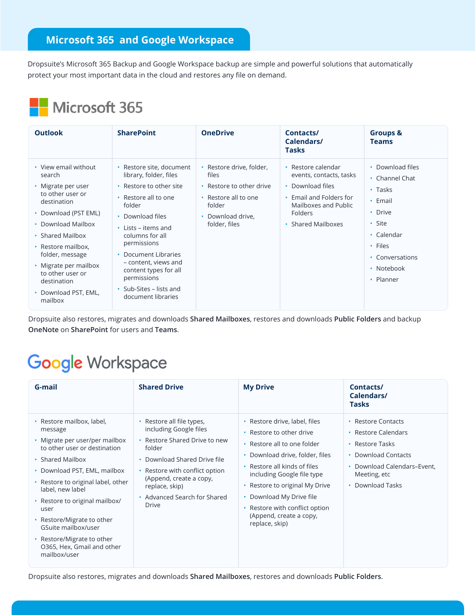### **Microsoft 365 and Google Workspace**

Dropsuite's Microsoft 365 Backup and Google Workspace backup are simple and powerful solutions that automatically protect your most important data in the cloud and restores any file on demand.

## Microsoft 365

| <b>Outlook</b>                                                                                                                                                                                                                                                                                  | <b>SharePoint</b>                                                                                                                                                                                                                                                                                                                     | <b>OneDrive</b>                                                                                                                       | Contacts/<br>Calendars/<br><b>Tasks</b>                                                                                                             | <b>Groups &amp;</b><br><b>Teams</b>                                                                                                                              |
|-------------------------------------------------------------------------------------------------------------------------------------------------------------------------------------------------------------------------------------------------------------------------------------------------|---------------------------------------------------------------------------------------------------------------------------------------------------------------------------------------------------------------------------------------------------------------------------------------------------------------------------------------|---------------------------------------------------------------------------------------------------------------------------------------|-----------------------------------------------------------------------------------------------------------------------------------------------------|------------------------------------------------------------------------------------------------------------------------------------------------------------------|
| • View email without<br>search<br>• Migrate per user<br>to other user or<br>destination<br>• Download (PST EML)<br>• Download Mailbox<br>• Shared Mailbox<br>• Restore mailbox,<br>folder, message<br>• Migrate per mailbox<br>to other user or<br>destination<br>Download PST, EML,<br>mailbox | • Restore site, document<br>library, folder, files<br>Restore to other site<br>Restore all to one<br>folder<br>• Download files<br>$\cdot$ Lists – items and<br>columns for all<br>permissions<br>Document Libraries<br>- content, views and<br>content types for all<br>permissions<br>• Sub-Sites – lists and<br>document libraries | • Restore drive, folder,<br>files<br>• Restore to other drive<br>• Restore all to one<br>folder<br>• Download drive,<br>folder, files | • Restore calendar<br>events, contacts, tasks<br>• Download files<br>Email and Folders for<br>Mailboxes and Public<br>Folders<br>• Shared Mailboxes | • Download files<br>• Channel Chat<br>$\cdot$ Tasks<br>$\cdot$ Email<br>• Drive<br>• Site<br>• Calendar<br>• Files<br>• Conversations<br>• Notebook<br>• Planner |

Dropsuite also restores, migrates and downloads **Shared Mailboxes**, restores and downloads **Public Folders** and backup **OneNote** on **SharePoint** for users and **Teams**.

## **Google Workspace**

| G-mail                                                                                                                                                                                                                                                                                                                                                                                          | <b>Shared Drive</b>                                                                                                                                                                                                                                           | <b>My Drive</b>                                                                                                                                                                                                                                                                                                                     | Contacts/<br>Calendars/<br>Tasks                                                                                                                       |
|-------------------------------------------------------------------------------------------------------------------------------------------------------------------------------------------------------------------------------------------------------------------------------------------------------------------------------------------------------------------------------------------------|---------------------------------------------------------------------------------------------------------------------------------------------------------------------------------------------------------------------------------------------------------------|-------------------------------------------------------------------------------------------------------------------------------------------------------------------------------------------------------------------------------------------------------------------------------------------------------------------------------------|--------------------------------------------------------------------------------------------------------------------------------------------------------|
| • Restore mailbox, label,<br>message<br>• Migrate per user/per mailbox<br>to other user or destination<br>• Shared Mailbox<br>• Download PST, EML, mailbox<br>• Restore to original label, other<br>label, new label<br>• Restore to original mailbox/<br>user<br>• Restore/Migrate to other<br>GSuite mailbox/user<br>• Restore/Migrate to other<br>O365, Hex, Gmail and other<br>mailbox/user | • Restore all file types,<br>including Google files<br>• Restore Shared Drive to new<br>folder<br>• Download Shared Drive file<br>• Restore with conflict option<br>(Append, create a copy,<br>replace, skip)<br>• Advanced Search for Shared<br><b>Drive</b> | Restore drive, label, files<br>Restore to other drive<br>Restore all to one folder<br>Download drive, folder, files<br>Restore all kinds of files<br>$\bullet$<br>including Google file type<br>Restore to original My Drive<br>Download My Drive file<br>Restore with conflict option<br>(Append, create a copy,<br>replace, skip) | • Restore Contacts<br>• Restore Calendars<br>• Restore Tasks<br>• Download Contacts<br>• Download Calendars-Event.<br>Meeting, etc<br>• Download Tasks |

Dropsuite also restores, migrates and downloads **Shared Mailboxes**, restores and downloads **Public Folders**.